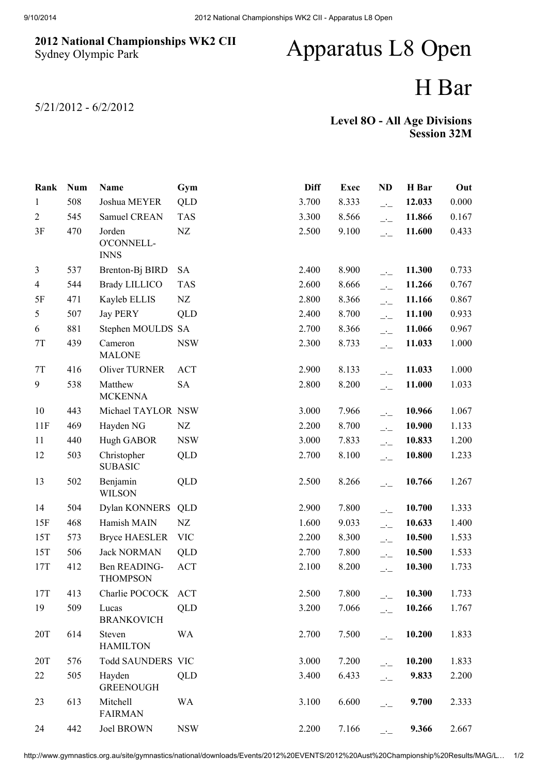## 2012 National Championships WK2 CII Sydney Olympic Park

## Apparatus L8 Open

## H Bar

5/21/2012 - 6/2/2012

| <b>Level 80 - All Age Divisions</b> |                    |
|-------------------------------------|--------------------|
|                                     | <b>Session 32M</b> |

| Rank           | <b>Num</b> | Name                                | Gym        | <b>Diff</b> | <b>Exec</b> | <b>ND</b>                | H Bar  | Out   |
|----------------|------------|-------------------------------------|------------|-------------|-------------|--------------------------|--------|-------|
| 1              | 508        | Joshua MEYER                        | QLD        | 3.700       | 8.333       | $\overline{\phantom{a}}$ | 12.033 | 0.000 |
| $\overline{2}$ | 545        | Samuel CREAN                        | <b>TAS</b> | 3.300       | 8.566       | $\overline{\phantom{a}}$ | 11.866 | 0.167 |
| 3F             | 470        | Jorden<br>O'CONNELL-<br><b>INNS</b> | NZ         | 2.500       | 9.100       | $\overline{a}$           | 11.600 | 0.433 |
| 3              | 537        | Brenton-Bj BIRD                     | <b>SA</b>  | 2.400       | 8.900       | $\overline{\phantom{a}}$ | 11.300 | 0.733 |
| $\overline{4}$ | 544        | <b>Brady LILLICO</b>                | <b>TAS</b> | 2.600       | 8.666       | $\overline{\phantom{a}}$ | 11.266 | 0.767 |
| 5F             | 471        | Kayleb ELLIS                        | NZ         | 2.800       | 8.366       | $\overline{\phantom{a}}$ | 11.166 | 0.867 |
| 5              | 507        | <b>Jay PERY</b>                     | <b>QLD</b> | 2.400       | 8.700       | $\overline{\phantom{a}}$ | 11.100 | 0.933 |
| 6              | 881        | Stephen MOULDS SA                   |            | 2.700       | 8.366       | $\overline{\phantom{a}}$ | 11.066 | 0.967 |
| $7\mathrm{T}$  | 439        | Cameron<br><b>MALONE</b>            | <b>NSW</b> | 2.300       | 8.733       | $\overline{\phantom{a}}$ | 11.033 | 1.000 |
| $7\mathrm{T}$  | 416        | Oliver TURNER                       | <b>ACT</b> | 2.900       | 8.133       | $\overline{\phantom{a}}$ | 11.033 | 1.000 |
| 9              | 538        | Matthew<br><b>MCKENNA</b>           | <b>SA</b>  | 2.800       | 8.200       | $\overline{\phantom{a}}$ | 11.000 | 1.033 |
| 10             | 443        | Michael TAYLOR NSW                  |            | 3.000       | 7.966       | $\overline{\phantom{a}}$ | 10.966 | 1.067 |
| 11F            | 469        | Hayden NG                           | NZ         | 2.200       | 8.700       | $\overline{\phantom{a}}$ | 10.900 | 1.133 |
| 11             | 440        | Hugh GABOR                          | <b>NSW</b> | 3.000       | 7.833       | $\overline{a}$           | 10.833 | 1.200 |
| 12             | 503        | Christopher<br><b>SUBASIC</b>       | <b>QLD</b> | 2.700       | 8.100       | $\overline{\phantom{a}}$ | 10.800 | 1.233 |
| 13             | 502        | Benjamin<br><b>WILSON</b>           | QLD        | 2.500       | 8.266       | $\overline{\phantom{a}}$ | 10.766 | 1.267 |
| 14             | 504        | Dylan KONNERS                       | QLD        | 2.900       | 7.800       | $\overline{a}$           | 10.700 | 1.333 |
| 15F            | 468        | Hamish MAIN                         | NZ         | 1.600       | 9.033       | $\overline{\phantom{a}}$ | 10.633 | 1.400 |
| 15T            | 573        | <b>Bryce HAESLER</b>                | <b>VIC</b> | 2.200       | 8.300       | $\overline{\phantom{a}}$ | 10.500 | 1.533 |
| 15T            | 506        | <b>Jack NORMAN</b>                  | QLD        | 2.700       | 7.800       | $\overline{\phantom{a}}$ | 10.500 | 1.533 |
| 17T            | 412        | Ben READING-<br><b>THOMPSON</b>     | <b>ACT</b> | 2.100       | 8.200       | $\overline{\phantom{a}}$ | 10.300 | 1.733 |
| 17T            | 413        | Charlie POCOCK ACT                  |            | 2.500       | 7.800       | $\overline{\phantom{a}}$ | 10.300 | 1.733 |
| 19             | 509        | Lucas<br><b>BRANKOVICH</b>          | QLD        | 3.200       | 7.066       | $\overline{\phantom{a}}$ | 10.266 | 1.767 |
| 20T            | 614        | Steven<br><b>HAMILTON</b>           | WA         | 2.700       | 7.500       | $\overline{\phantom{a}}$ | 10.200 | 1.833 |
| 20T            | 576        | <b>Todd SAUNDERS VIC</b>            |            | 3.000       | 7.200       | $\overline{a}$           | 10.200 | 1.833 |
| 22             | 505        | Hayden<br><b>GREENOUGH</b>          | QLD        | 3.400       | 6.433       | $\overline{\phantom{a}}$ | 9.833  | 2.200 |
| 23             | 613        | Mitchell<br><b>FAIRMAN</b>          | WA         | 3.100       | 6.600       | $-1$                     | 9.700  | 2.333 |
| 24             | 442        | Joel BROWN                          | <b>NSW</b> | 2.200       | 7.166       |                          | 9.366  | 2.667 |